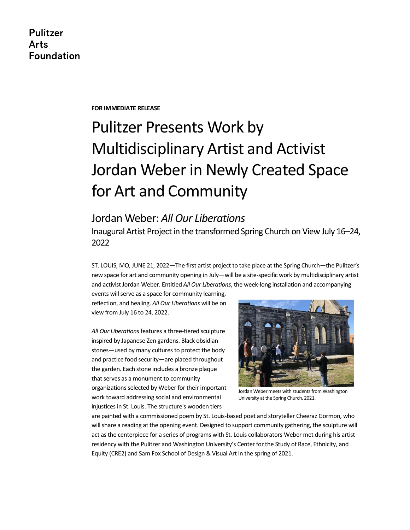**Pulitzer Arts Foundation** 

**FOR IMMEDIATE RELEASE** 

# Pulitzer Presents Work by Multidisciplinary Artist and Activist Jordan Weber in Newly Created Space for Art and Community

# Jordan Weber: *All Our Liberations*

Inaugural Artist Project in the transformed Spring Church on View July 16–24, 2022

ST. LOUIS, MO, JUNE 21, 2022—The first artist project to take place at the Spring Church—the Pulitzer's new space for art and community opening in July—will be a site-specific work by multidisciplinary artist and activist Jordan Weber. Entitled *All Our Liberations*, the week-long installation and accompanying

events will serve as a space for community learning, reflection, and healing. *All Our Liberations* will be on view from July 16 to 24, 2022.

*All Our Liberations*features a three-tiered sculpture inspired by Japanese Zen gardens. Black obsidian stones—used by many cultures to protect the body and practice food security—are placed throughout the garden. Each stone includes a bronze plaque that serves as a monument to community organizations selected by Weber for their important work toward addressing social and environmental injustices in St. Louis. The structure's wooden tiers



Jordan Weber meets with students from Washington University at the Spring Church, 2021.

are painted with a commissioned poem by St. Louis-based poet and storyteller Cheeraz Gormon, who will share a reading at the opening event. Designed to support community gathering, the sculpture will act as the centerpiece for a series of programs with St. Louis collaborators Weber met during his artist residency with the Pulitzer and Washington University's Center for the Study of Race, Ethnicity, and Equity (CRE2) and Sam Fox School of Design & Visual Art in the spring of 2021.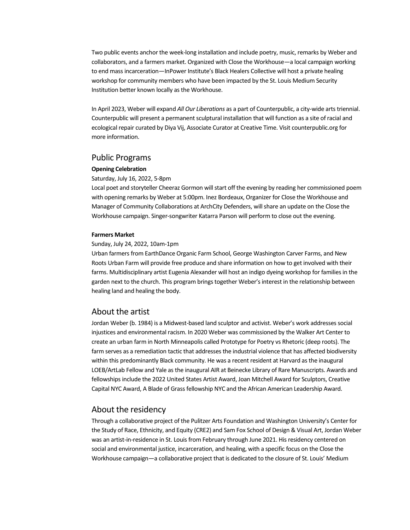Two public events anchor the week-long installation and include poetry, music, remarks by Weber and collaborators, and a farmers market. Organized with Close the Workhouse—a local campaign working to end mass incarceration—InPower Institute's Black Healers Collective will host a private healing workshop for community members who have been impacted by the St. Louis Medium Security Institution better known locally as the Workhouse.

In April 2023, Weber will expand *All Our Liberations* as a part of Counterpublic, a city-wide arts triennial. Counterpublic will present a permanent sculptural installation that will function as a site of racial and ecological repair curated by Diya Vij, Associate Curator at Creative Time. Visit counterpublic.org for more information.

### Public Programs

#### **Opening Celebration**

Saturday, July 16, 2022, 5-8pm

Local poet and storyteller Cheeraz Gormon will start off the evening by reading her commissioned poem with opening remarks by Weber at 5:00pm. Inez Bordeaux, Organizer for Close the Workhouse and Manager of Community Collaborations at ArchCity Defenders, will share an update on the Close the Workhouse campaign. Singer-songwriter Katarra Parson will perform to close out the evening.

#### **Farmers Market**

#### Sunday, July 24, 2022, 10am-1pm

Urban farmers from EarthDance Organic Farm School, George Washington Carver Farms, and New Roots Urban Farm will provide free produce and share information on how to get involved with their farms. Multidisciplinary artist Eugenia Alexander will host an indigo dyeing workshop for families in the garden next to the church. This program brings together Weber's interest in the relationship between healing land and healing the body.

### About the artist

Jordan Weber (b. 1984) is a Midwest-based land sculptor and activist. Weber's work addresses social injustices and environmental racism. In 2020 Weber was commissioned by the Walker Art Center to create an urban farm in North Minneapolis called Prototype for Poetry vs Rhetoric (deep roots). The farm serves as a remediation tactic that addresses the industrial violence that has affected biodiversity within this predominantly Black community. He was a recent resident at Harvard as the inaugural LOEB/ArtLab Fellow and Yale as the inaugural AIR at Beinecke Library of Rare Manuscripts. Awards and fellowships include the 2022 United States Artist Award, Joan Mitchell Award for Sculptors, Creative Capital NYC Award, A Blade of Grass fellowship NYC and the African American Leadership Award.

## About the residency

Through a collaborative project of the Pulitzer Arts Foundation and Washington University's Center for the Study of Race, Ethnicity, and Equity (CRE2) and Sam Fox School of Design & Visual Art, Jordan Weber was an artist-in-residence in St. Louis from February through June 2021. His residency centered on social and environmental justice, incarceration, and healing, with a specific focus on the Close the Workhouse campaign—a collaborative project that is dedicated to the closure of St. Louis' Medium